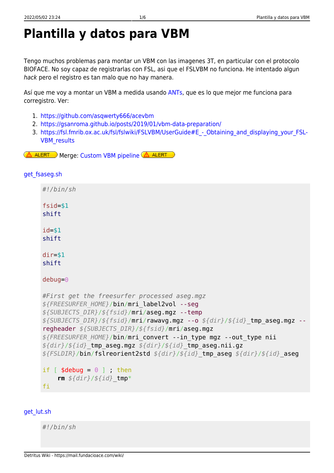## **Plantilla y datos para VBM**

Tengo muchos problemas para montar un VBM con las imagenes 3T, en particular con el protocolo BIOFACE. No soy capaz de registrarlas con FSL, asi que el FSLVBM no funciona. He intentado algun hack pero el registro es tan malo que no hay manera.

Así que me voy a montar un VBM a medida usando [ANTs](https://github.com/ANTsX/ANTs), que es lo que mejor me funciona para corregistro. Ver:

- 1. <https://github.com/asqwerty666/acevbm>
- 2. <https://gsanroma.github.io/posts/2019/01/vbm-data-preparation/>
- 3. https://fsl.fmrib.ox.ac.uk/fsl/fslwiki/FSLVBM/UserGuide#E Obtaining and displaying your FSL-[VBM\\_results](https://fsl.fmrib.ox.ac.uk/fsl/fslwiki/FSLVBM/UserGuide#E_-_Obtaining_and_displaying_your_FSL-VBM_results)

Merge: [Custom VBM pipeline](https://mail.fundacioace.com/wiki/doku.php?id=neuroimagen:vbm_own)  $\Delta$  ALERT A ALERT

## get fsaseg.sh

| #!/bin/sh                                                                                                                                                                                                                                                                                                                                                                                                                                                                                               |
|---------------------------------------------------------------------------------------------------------------------------------------------------------------------------------------------------------------------------------------------------------------------------------------------------------------------------------------------------------------------------------------------------------------------------------------------------------------------------------------------------------|
| $fsid = $1$<br>shift                                                                                                                                                                                                                                                                                                                                                                                                                                                                                    |
| $id = $1$<br>shift                                                                                                                                                                                                                                                                                                                                                                                                                                                                                      |
| $dir=$ \$1<br>shift                                                                                                                                                                                                                                                                                                                                                                                                                                                                                     |
| $debug = 0$                                                                                                                                                                                                                                                                                                                                                                                                                                                                                             |
| #First get the freesurfer processed aseg.mgz<br>\${FREESURFER HOME}/bin/mri label2vol --seg<br>\${SUBJECTS DIR}/\${fsid}/mri/aseg.mgz --temp<br>\${SUBJECTS DIR}/\${fsid}/mri/rawavg.mgz --o \${dir}/\${id} tmp aseg.mgz --<br>regheader \${SUBJECTS DIR}/\${fsid}/mri/aseg.mgz<br>\${FREESURFER HOME}/bin/mri convert --in type mgz --out type nii<br>$f\{dir\}/f\{id\}$ tmp aseg.mgz $f\{dir\}/f\{id\}$ tmp aseg.nii.gz<br>\${FSLDIR}/bin/fslreorient2std \${dir}/\${id} tmp aseg \${dir}/\${id} aseg |
| if $[$ \$debug = $0$ ] ; then<br>rm $${dir}{}/${ifid}$ tmp*<br>fi                                                                                                                                                                                                                                                                                                                                                                                                                                       |
|                                                                                                                                                                                                                                                                                                                                                                                                                                                                                                         |

## [get\\_lut.sh](https://mail.fundacioace.com/wiki/doku.php?do=export_code&id=neuroimagen:vbm_ants&codeblock=1)

*#!/bin/sh*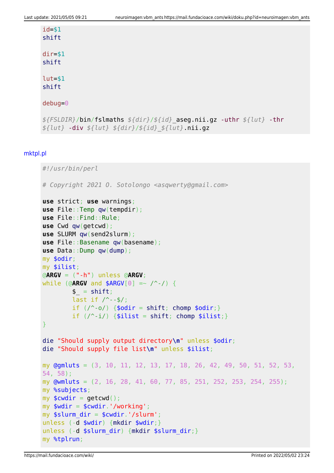| $id = $1$                                                             |
|-----------------------------------------------------------------------|
| shift                                                                 |
| $dir=$ \$1                                                            |
| shift                                                                 |
|                                                                       |
| $l$ ut=\$1                                                            |
| shift                                                                 |
| $debug = 0$                                                           |
|                                                                       |
| \${FSLDIR}/bin/fslmaths \${dir}/\${id}_aseg.nii.gz -uthr \${lut} -thr |
| $${lut} -div ${lut} ${lut} ${dir}/${jtd} ${lut} .min.g$               |

## [mktpl.pl](https://mail.fundacioace.com/wiki/doku.php?do=export_code&id=neuroimagen:vbm_ants&codeblock=2)

```
#!/usr/bin/perl
# Copyright 2021 O. Sotolongo <asqwerty@gmail.com>
use strict; use warnings;
use File::Temp qw(tempdir);
use File::Find::Rule;
use Cwd qw(getcwd);
use SLURM qw(send2slurm);
use File::Basename qw(basename);
use Data::Dump qw(dump);
my $odir;
my $ilist;
@ARGV = ("-h") unless @ARGV;
while (@ARGV and $ARGV[0] =~ /^-/) {
        shift;last if \sqrt{--$/;
       if (\wedge^2shiftchomp $odir;}
        if (\wedge -i)shift;chomp $ilist;}
}
die "Should supply output directory\n" unless $odir;
die "Should supply file list\n" unless $ilist;
my @gmluts = (3, 10, 11, 12, 13, 17, 18, 26, 42, 49, 50, 51, 52, 53,
54, 58);
my @wmluts = (2, 16, 28, 41, 60, 77, 85, 251, 252, 253, 254, 255);
my %subjects;
my $cwdir = qetcwd();
my $wdir = $cwdir.'/working';
my $slurm dir = $cwdir.'/slurm;
unless (-d $wdir) {mkdir $wdir;}
unless (-d $slurm_dir) {mkdir $slurm_dir;}
my %tplrun;
```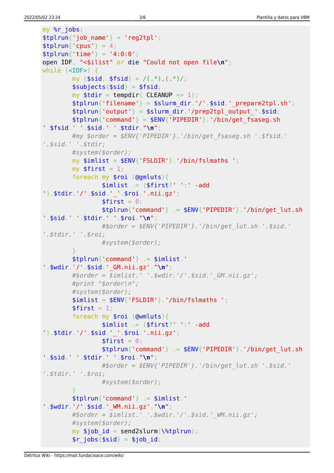```
mv %r iobs:
$tplrun{'job name'} = 'reg2tp';
$tplrun{'cpus'} = 4;$tplrun{'time'} = '4:0:0';open IDF, "<$ilist" or die "Could not open file\n";
while (\text{SIDE}>) {
         my (\frac{1}{2} \text{sid}, \frac{1}{2} \text{fsid}) = /(.*), (.*) ;
         $subjects{$sid$ = $fsid$}
         my $tdir = tempdir( CLEANUP =& 1);stplrun{'filterame'} = $slurm dir.'/'.$sid.'prepare2tpl.sh';$tplrun['output'] = $slurm dir.'/prep2tpl output'.$sid;$tplrun{'command'} = $ENV{'PIPEDIR'}.'/bin/get fsaseg.sh
'.$fsid.'':$sid.'':$sid.'':$tdir."\\n"\#my $order = $ENV{'PIPEDIR'}.'/bin/get fsaseg.sh '.$fsid.'
\cdot, \frac{2}{3}sid. \cdot \cdot, \frac{2}{3}tdir;
        #system($order);
        my $imlist = $ENV{'FSLDIR'}.'/bin/fslmaths ';
        my $first = 1;foreach my \text{frol} (\text{Qgmluts}) {
                  $imlist = ($first? ' '': ' - add').$tdir.'/'.$sid.' '.$roi.'.nii.gz';
                  $first = 0;$tplrun['command'] = $ENV['PIPEDIR'] .'bin/get_lut.sh'.$sid.''.§tdir.''.§roi."\\n";#$order = $ENV{ 'PIPEDIR ' }.'bin/get_lut.sh '.*siid.''.\texttt{stdir.}''.\texttt{sroi.}'#system($order);
         $tplrun{'command'} = $inlist.'\cdot $wdir '/ $sid \cdot GM.nii.qz' "\n";
         #border = similar: ' "swdir."'.' .ssid." GM.nii. az':#print "$order\n";
         #system($order);
         $imlist = $ENV{'FSLDIR'}}.'/bin/fslmaths</math>$first = 1;foreach my \text{foid} (\text{Gwmluts}) {
                  $imlist = ($first?'': ' : ' - add').$tdir.'/'.$sid.' '.$roi.'.nii.gz';
                 $first = 0;$tplrun('command'] = $ENV{'PIPEDIR'}.'bin/get lut.sh'.$sid.''.$tdir.''.$roi."\\n";#$order = $ENV{''}PIPEDIR'}.'/bin/get_lut.sh'.$sid.''.\texttt{stdir.}''.\texttt{sroi.}'#system(\text{\$order});$thlrun{''command'} = $imlist.''.$wdir.'/'.$sid.' WM.nii.gz'."\n";
         #Sorder = Simlist.".$wdir.'/'.$sid.' WM.nii.az':
         #system($order);
         my $job id = send2slurm(\%tplrun);
         \frac{1}{2} fobs{$sid} = $job id;
```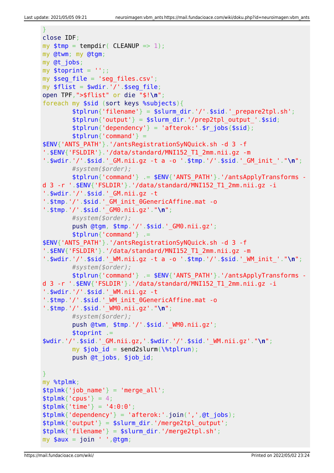```
\mathcal{V}close IDF:
my $tmp = tempdir( CLEANUP =& 1);my @twm; my @tqm;
my @t jobs;
my $toprint = ';;
my $seg file = 'seg files.csv';my $flist = $wdir.'/'.$seg file;open TPF, ">$flist" or die "$!\n";
foreach my $sid (sort keys %subjects){
        $tplrun{'filename'} = $slurm dir.'/'.$sid.' prepare2tpl.sh';$tplrun['output'] = $slurm dir.'/prep2tpl output'.$sid;$tplrun{'dependency'} = 'afterok:'.$r jobs {$sid};$tplrun{''command'} =
$ENV{'ANTS PATH'}.'/antsRegistrationSyNQuick.sh -d 3 -f
'.$ENV{'FSLDIR'}.'/data/standard/MNI152 T1 2mm.nii.gz -m
'.$wdir.'/'.$sid.'_GM.nii.gz -t a -o '.$tmp.'/'.$sid.'_GM_init_'."\n";
        #system($order);
        $tplrun['command'] = $ENV['ANTS PATH'].'/antsApplyTransforms -
d 3 -r '.$ENV{'FSLDIR'}.'/data/standard/MNI152 T1 2mm.nii.gz -i
'.$wdir.'/'.$sid.' GM.nii.gz -t
'.$tmp.'/'.$sid.'_GM_init_0GenericAffine.mat -o
'.$tmp.'/'.$sid.' GM0.nii.gz'."\n";
        #system($order);
        push @tgm, $tmp.'/'.$sid.'_GM0.nii.gz';
        $tplrun{''command'} . =
$ENV{'ANTS PATH'}.'/antsRegistrationSyNQuick.sh -d 3 -f
'.$ENV{'FSLDIR'}.'/data/standard/MNI152 T1 2mm.nii.gz -m
'.$wdir.'/'.$sid.' WM.nii.gz -t a -o '.$tmp.'/'.$sid.' WM init '."\n";
        #system($order);
        $thlrun{'command'} = $ENV{'AMTS PATH'}. /antsApplvTransforms -
d 3 -r '.$ENV{'FSLDIR'}.'/data/standard/MNI152 T1 2mm.nii.gz -i
'.\ wdir.'/'.$sid.' WM.nii.gz -t
'.$tmp.'/'.$sid.' WM init 0GenericAffine.mat -o
'.$tmp.'/'.$sid.' WM0.nii.gz'."\n";
        #system($order);
        push @twm, $tmp.'/'.$sid.'_WM0.nii.gz';
        $toprint =$wdir.'/'.$sid.'_GM.nii.gz,'.$wdir.'/'.$sid.' WM.nii.gz'."\n";
        my $job id = send2slurm(\%tplrun);
        push @t jobs, $job id;
Ą.
my %tplmk;
$tplmk{'job name'} = 'merge_all';$thlmk ' cpus' \} = 4:
$tplmk{''time'} = '4:0:0';$tplmk{''dependency'} = 'afterok:'.join(',',@t jobs);$tplmk'output'} = $slurm dir.'/merge2tpl output';
$tplmk{' filename'} = $slurm\_dir.'/merge2tpl.sh';
my $aux = join ' ', @tgm;
```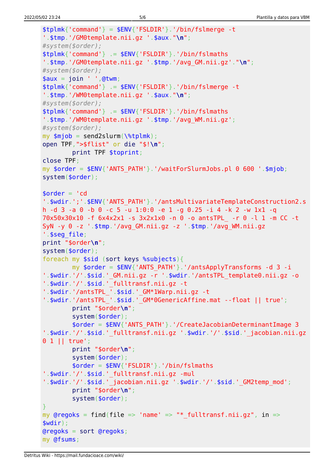```
$tplmk['command'] = $ENV['FSLDIR'].'/bin/fslmerae -t
'.$tmp.'/GM0template.nii.gz '.$aux."\n";
#system($order);
$tplmk{'command'} . = $ENV{'FSLDIR'} .'/bin/fslmaths'.$tmp.'/GM0template.nii.gz '.$tmp.'/avg GM.nii.gz'."\n";
#system($order);
$aux = join ' ', @twm;$tplmk{'command'} . = $ENV{'FSLDIR'} .'/bin/fslmerge -t'.$tmp.'/WM0template.nii.gz '.$aux."\n";
#system($order);
$tplmk{''command'} .= $ENV{''FSLDIR'}. '/bin/fslmaths
'.$tmp.'/WM0template.nii.gz '.$tmp.'/avg WM.nii.gz';
#system($order);
my $mjob = send2slurm(\%tplmk);
open TPF, ">$flist" or die "$!\n";
        print TPF $toprint:
close TPF;
my \text{border} = \text{SENV}'ANTS PATH'}.'/waitForSlurmJobs.pl 0 600 '.$mjob;
system($order);
\text{border} = 'cd'.$wdir.';'.$ENV{'ANTS PATH'}.'/antsMultivariateTemplateConstruction2.s
h -d 3 -a 0 -b 0 -c 5 -u 1:0:0 -e 1 -g 0.25 -i 4 -k 2 -w 1x1 -q
70x50x30x10 -f 6x4x2x1 -s 3x2x1x0 -n 0 -o antsTPL -r 0 -l 1 -m CC -t
SyN -y 0 -z ' $tmp '/avg_GM.nii.gz -z ' $tmp '/avg_WM.nii.gz
'.$seq file;
print "$order\n";
system($order);
foreach my $sid (sort keys %subjects){
        my \text{border} = \text{SENV}'ANTS PATH'}.'/antsApplyTransforms -d 3 -i
'.$wdir.'/'.$sid.' GM.nii.gz -r '.$wdir.'/antsTPL template0.nii.gz -o
'.$wdir.'/'.$sid.'_fulltransf.nii.gz -t
'.$wdir.'/antsTPL_'.$sid.'_GM*1Warp.nii.gz -t
'.$wdir.'/antsTPL_'.$sid.'_GM*0GenericAffine.mat --float || true';
        print "$order\n";
        system(<b>border</b>);
        \text{border} = \text{SENV} 'ANTS PATH'}. '/CreateJacobianDeterminantImage 3
'.$wdir.'/'.$sid.'_fulltransf.nii.gz '.$wdir.'/'.$sid.'_jacobian.nii.gz
0 1 || true':print "$order\n";
        system(<i>border</i>);
        $order = $ENV{'FSLDIR'}}.'/bin/fslmaths'.$wdir.'/'.$sid.'_fulltransf.nii.gz -mul
'.$wdir.'/'.$sid.' jacobian.nii.gz '.$wdir.'/'.$sid.' GM2temp mod';
        print "$order\n";
        system($order);
my @regoks = find(file => 'name' => "* fulltransf.nii.gz", in =>
$width :
Qregoks = sort Qregoks;
my @fsums;
```